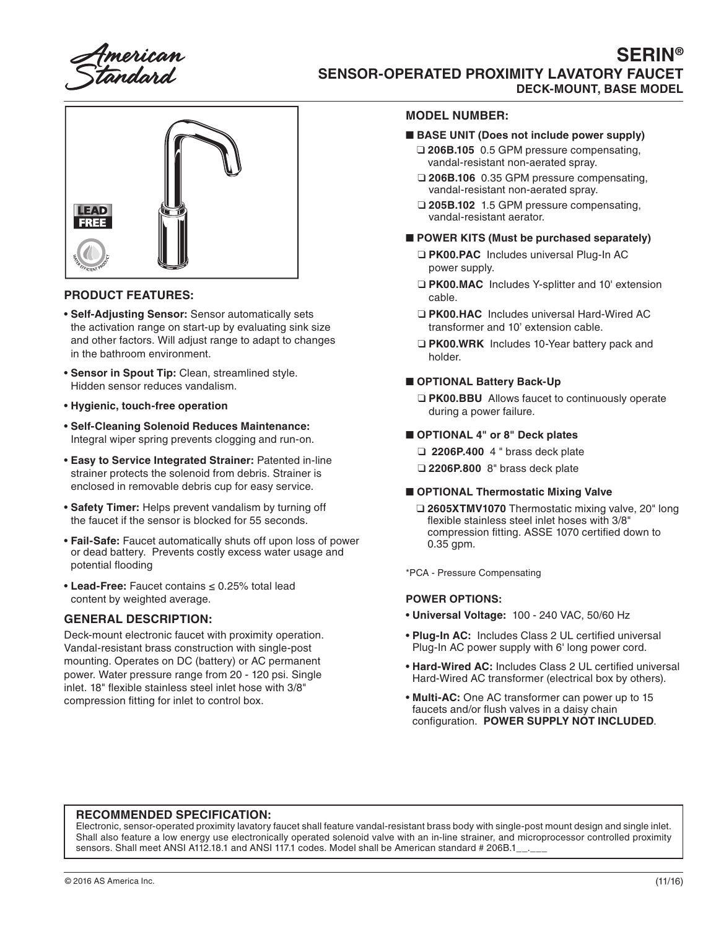tandard

## **SERIN® SENSOR-OPERATED PROXIMITY LAVATORY FAUCET DECK-MOUNT, BASE MODEL**



#### **PRODUCT FEATURES:**

- **Self-Adjusting Sensor:** Sensor automatically sets the activation range on start-up by evaluating sink size and other factors. Will adjust range to adapt to changes in the bathroom environment.
- **Sensor in Spout Tip:** Clean, streamlined style. Hidden sensor reduces vandalism.
- **Hygienic, touch-free operation**
- **Self-Cleaning Solenoid Reduces Maintenance:** Integral wiper spring prevents clogging and run-on.
- **Easy to Service Integrated Strainer:** Patented in-line strainer protects the solenoid from debris. Strainer is enclosed in removable debris cup for easy service.
- **Safety Timer:** Helps prevent vandalism by turning off the faucet if the sensor is blocked for 55 seconds.
- **Fail-Safe:** Faucet automatically shuts off upon loss of power or dead battery. Prevents costly excess water usage and potential flooding
- **Lead-Free:** Faucet contains ≤ 0.25% total lead content by weighted average.

## **GENERAL DESCRIPTION:**

Deck-mount electronic faucet with proximity operation. Vandal-resistant brass construction with single-post mounting. Operates on DC (battery) or AC permanent power. Water pressure range from 20 - 120 psi. Single inlet. 18" flexible stainless steel inlet hose with 3/8" compression fitting for inlet to control box.

#### **MODEL NUMBER:**

#### ■ **BASE UNIT (Does not include power supply)**

- ❑ **206B.105** 0.5 GPM pressure compensating, vandal-resistant non-aerated spray.
- ❑ **206B.106** 0.35 GPM pressure compensating, vandal-resistant non-aerated spray.
- ❑ **205B.102** 1.5 GPM pressure compensating, vandal-resistant aerator.

#### ■ **POWER KITS (Must be purchased separately)**

- ❑ **PK00.PAC** Includes universal Plug-In AC power supply.
- ❑ **PK00.MAC** Includes Y-splitter and 10' extension cable.
- ❑ **PK00.HAC** Includes universal Hard-Wired AC transformer and 10' extension cable.
- ❑ **PK00.WRK** Includes 10-Year battery pack and holder.

#### ■ **OPTIONAL Battery Back-Up**

❑ **PK00.BBU** Allows faucet to continuously operate during a power failure.

#### ■ **OPTIONAL 4"** or 8" Deck plates

- ❑ **2206P.400** 4 " brass deck plate
- ❑ **2206P.800** 8" brass deck plate

#### ■ **OPTIONAL Thermostatic Mixing Valve**

❑ **2605XTMV1070** Thermostatic mixing valve, 20" long flexible stainless steel inlet hoses with 3/8" compression fitting. ASSE 1070 certified down to 0.35 gpm.

\*PCA - Pressure Compensating

#### **POWER OPTIONS:**

- **Universal Voltage:** 100 240 VAC, 50/60 Hz
- **Plug-In AC:** Includes Class 2 UL certified universal Plug-In AC power supply with 6' long power cord.
- **Hard-Wired AC:** Includes Class 2 UL certified universal Hard-Wired AC transformer (electrical box by others).
- **Multi-AC:** One AC transformer can power up to 15 faucets and/or flush valves in a daisy chain configuration. **POWER SUPPLY NOT INCLUDED**.

## **RECOMMENDED SPECIFICATION:**

Electronic, sensor-operated proximity lavatory faucet shall feature vandal-resistant brass body with single-post mount design and single inlet. Shall also feature a low energy use electronically operated solenoid valve with an in-line strainer, and microprocessor controlled proximity sensors. Shall meet ANSI A112.18.1 and ANSI 117.1 codes. Model shall be American standard # 206B.1\_